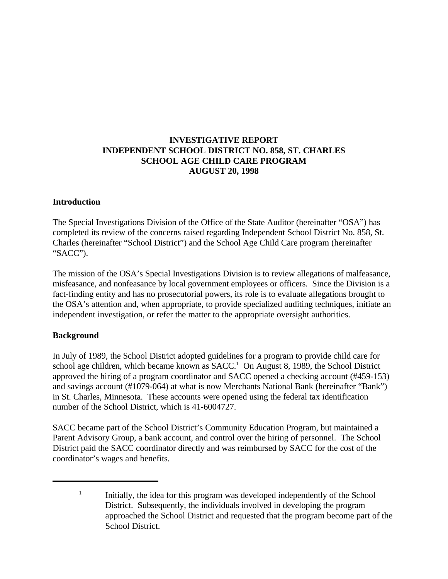# **INVESTIGATIVE REPORT INDEPENDENT SCHOOL DISTRICT NO. 858, ST. CHARLES SCHOOL AGE CHILD CARE PROGRAM AUGUST 20, 1998**

#### **Introduction**

The Special Investigations Division of the Office of the State Auditor (hereinafter "OSA") has completed its review of the concerns raised regarding Independent School District No. 858, St. Charles (hereinafter "School District") and the School Age Child Care program (hereinafter "SACC").

The mission of the OSA's Special Investigations Division is to review allegations of malfeasance, misfeasance, and nonfeasance by local government employees or officers. Since the Division is a fact-finding entity and has no prosecutorial powers, its role is to evaluate allegations brought to the OSA's attention and, when appropriate, to provide specialized auditing techniques, initiate an independent investigation, or refer the matter to the appropriate oversight authorities.

#### **Background**

In July of 1989, the School District adopted guidelines for a program to provide child care for school age children, which became known as  $SACC<sup>1</sup>$  On August 8, 1989, the School District approved the hiring of a program coordinator and SACC opened a checking account (#459-153) and savings account (#1079-064) at what is now Merchants National Bank (hereinafter "Bank") in St. Charles, Minnesota. These accounts were opened using the federal tax identification number of the School District, which is 41-6004727.

SACC became part of the School District's Community Education Program, but maintained a Parent Advisory Group, a bank account, and control over the hiring of personnel. The School District paid the SACC coordinator directly and was reimbursed by SACC for the cost of the coordinator's wages and benefits.

 $\frac{1}{1}$  Initially, the idea for this program was developed independently of the School District. Subsequently, the individuals involved in developing the program approached the School District and requested that the program become part of the School District.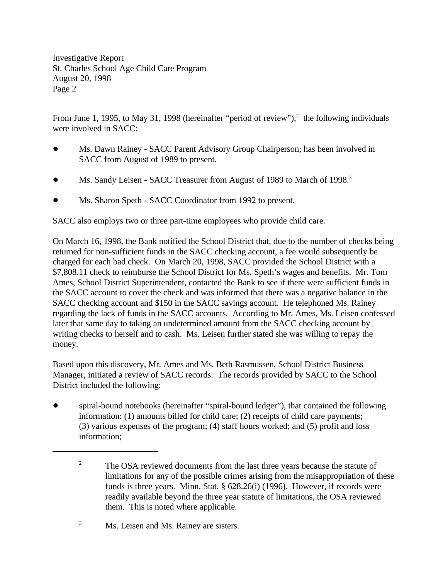From June 1, 1995, to May 31, 1998 (hereinafter "period of review"), $^2$  the following individuals were involved in SACC:

- ! Ms. Dawn Rainey SACC Parent Advisory Group Chairperson; has been involved in SACC from August of 1989 to present.
- Ms. Sandy Leisen SACC Treasurer from August of 1989 to March of 1998.<sup>3</sup>
- Ms. Sharon Speth SACC Coordinator from 1992 to present.

SACC also employs two or three part-time employees who provide child care.

On March 16, 1998, the Bank notified the School District that, due to the number of checks being returned for non-sufficient funds in the SACC checking account, a fee would subsequently be charged for each bad check. On March 20, 1998, SACC provided the School District with a \$7,808.11 check to reimburse the School District for Ms. Speth's wages and benefits. Mr. Tom Ames, School District Superintendent, contacted the Bank to see if there were sufficient funds in the SACC account to cover the check and was informed that there was a negative balance in the SACC checking account and \$150 in the SACC savings account. He telephoned Ms. Rainey regarding the lack of funds in the SACC accounts. According to Mr. Ames, Ms. Leisen confessed later that same day to taking an undetermined amount from the SACC checking account by writing checks to herself and to cash. Ms. Leisen further stated she was willing to repay the money.

Based upon this discovery, Mr. Ames and Ms. Beth Rasmussen, School District Business Manager, initiated a review of SACC records. The records provided by SACC to the School District included the following:

• spiral-bound notebooks (hereinafter "spiral-bound ledger"), that contained the following information: (1) amounts billed for child care; (2) receipts of child care payments; (3) various expenses of the program; (4) staff hours worked; and (5) profit and loss information;

<sup>&</sup>lt;sup>2</sup> The OSA reviewed documents from the last three years because the statute of limitations for any of the possible crimes arising from the misappropriation of these funds is three years. Minn. Stat. § 628.26(i) (1996). However, if records were readily available beyond the three year statute of limitations, the OSA reviewed them. This is noted where applicable.

<sup>&</sup>lt;sup>3</sup> Ms. Leisen and Ms. Rainey are sisters.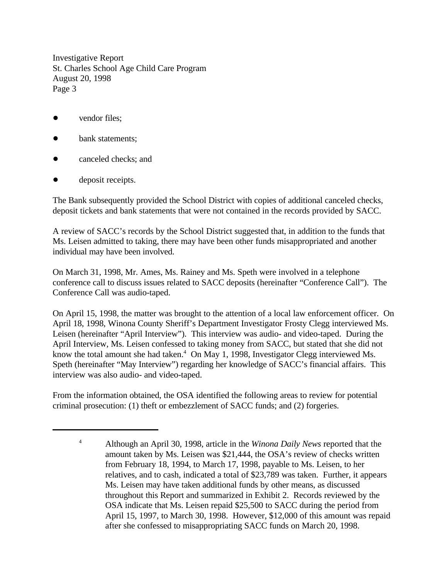- vendor files:
- bank statements;
- canceled checks; and
- deposit receipts.

The Bank subsequently provided the School District with copies of additional canceled checks, deposit tickets and bank statements that were not contained in the records provided by SACC.

A review of SACC's records by the School District suggested that, in addition to the funds that Ms. Leisen admitted to taking, there may have been other funds misappropriated and another individual may have been involved.

On March 31, 1998, Mr. Ames, Ms. Rainey and Ms. Speth were involved in a telephone conference call to discuss issues related to SACC deposits (hereinafter "Conference Call"). The Conference Call was audio-taped.

On April 15, 1998, the matter was brought to the attention of a local law enforcement officer. On April 18, 1998, Winona County Sheriff's Department Investigator Frosty Clegg interviewed Ms. Leisen (hereinafter "April Interview"). This interview was audio- and video-taped. During the April Interview, Ms. Leisen confessed to taking money from SACC, but stated that she did not know the total amount she had taken. $4$  On May 1, 1998, Investigator Clegg interviewed Ms. Speth (hereinafter "May Interview") regarding her knowledge of SACC's financial affairs. This interview was also audio- and video-taped.

From the information obtained, the OSA identified the following areas to review for potential criminal prosecution: (1) theft or embezzlement of SACC funds; and (2) forgeries.

Although an April 30, 1998, article in the *Winona Daily News* reported that the <sup>4</sup> amount taken by Ms. Leisen was \$21,444, the OSA's review of checks written from February 18, 1994, to March 17, 1998, payable to Ms. Leisen, to her relatives, and to cash, indicated a total of \$23,789 was taken. Further, it appears Ms. Leisen may have taken additional funds by other means, as discussed throughout this Report and summarized in Exhibit 2. Records reviewed by the OSA indicate that Ms. Leisen repaid \$25,500 to SACC during the period from April 15, 1997, to March 30, 1998. However, \$12,000 of this amount was repaid after she confessed to misappropriating SACC funds on March 20, 1998.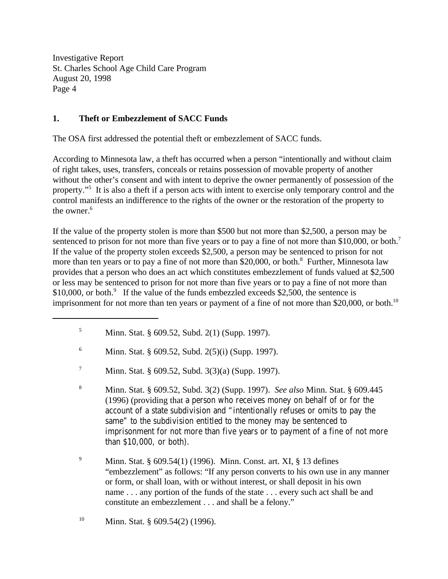## **1. Theft or Embezzlement of SACC Funds**

The OSA first addressed the potential theft or embezzlement of SACC funds.

According to Minnesota law, a theft has occurred when a person "intentionally and without claim of right takes, uses, transfers, conceals or retains possession of movable property of another without the other's consent and with intent to deprive the owner permanently of possession of the property."<sup>5</sup> It is also a theft if a person acts with intent to exercise only temporary control and the control manifests an indifference to the rights of the owner or the restoration of the property to the owner.<sup>6</sup>

If the value of the property stolen is more than \$500 but not more than \$2,500, a person may be sentenced to prison for not more than five years or to pay a fine of not more than \$10,000, or both.<sup>7</sup> If the value of the property stolen exceeds \$2,500, a person may be sentenced to prison for not more than ten years or to pay a fine of not more than \$20,000, or both.<sup>8</sup> Further, Minnesota law provides that a person who does an act which constitutes embezzlement of funds valued at \$2,500 or less may be sentenced to prison for not more than five years or to pay a fine of not more than  $$10,000$ , or both.<sup>9</sup> If the value of the funds embezzled exceeds \$2,500, the sentence is imprisonment for not more than ten years or payment of a fine of not more than \$20,000, or both.<sup>10</sup>

<sup>&</sup>lt;sup>5</sup> Minn. Stat. § 609.52, Subd. 2(1) (Supp. 1997).

<sup>&</sup>lt;sup>6</sup> Minn. Stat. § 609.52, Subd. 2(5)(i) (Supp. 1997).

<sup>&</sup>lt;sup>7</sup> Minn. Stat. § 609.52, Subd. 3(3)(a) (Supp. 1997).

Minn. Stat. § 609.52, Subd. 3(2) (Supp. 1997). *See also* Minn. Stat. § 609.445 <sup>8</sup> (1996) (providing that a person who receives money on behalf of or for the account of a state subdivision and "intentionally refuses or omits to pay the same" to the subdivision entitled to the money may be sentenced to imprisonment for not more than five years or to payment of a fine of not more than \$10,000, or both).

<sup>&</sup>lt;sup>9</sup> Minn. Stat. § 609.54(1) (1996). Minn. Const. art. XI, § 13 defines "embezzlement" as follows: "If any person converts to his own use in any manner or form, or shall loan, with or without interest, or shall deposit in his own name . . . any portion of the funds of the state . . . every such act shall be and constitute an embezzlement . . . and shall be a felony."

<sup>&</sup>lt;sup>10</sup> Minn. Stat. § 609.54(2) (1996).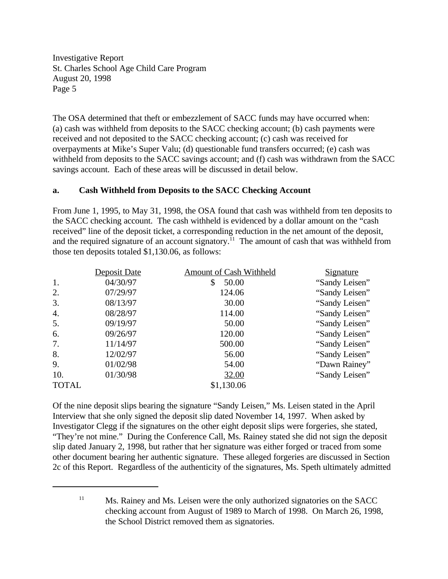The OSA determined that theft or embezzlement of SACC funds may have occurred when: (a) cash was withheld from deposits to the SACC checking account; (b) cash payments were received and not deposited to the SACC checking account; (c) cash was received for overpayments at Mike's Super Valu; (d) questionable fund transfers occurred; (e) cash was withheld from deposits to the SACC savings account; and (f) cash was withdrawn from the SACC savings account. Each of these areas will be discussed in detail below.

#### **a. Cash Withheld from Deposits to the SACC Checking Account**

From June 1, 1995, to May 31, 1998, the OSA found that cash was withheld from ten deposits to the SACC checking account. The cash withheld is evidenced by a dollar amount on the "cash received" line of the deposit ticket, a corresponding reduction in the net amount of the deposit, and the required signature of an account signatory.<sup>11</sup> The amount of cash that was withheld from those ten deposits totaled \$1,130.06, as follows:

|              | Deposit Date | <b>Amount of Cash Withheld</b> | <b>Signature</b> |
|--------------|--------------|--------------------------------|------------------|
| 1.           | 04/30/97     | \$<br>50.00                    | "Sandy Leisen"   |
| 2.           | 07/29/97     | 124.06                         | "Sandy Leisen"   |
| 3.           | 08/13/97     | 30.00                          | "Sandy Leisen"   |
| 4.           | 08/28/97     | 114.00                         | "Sandy Leisen"   |
| 5.           | 09/19/97     | 50.00                          | "Sandy Leisen"   |
| 6.           | 09/26/97     | 120.00                         | "Sandy Leisen"   |
| 7.           | 11/14/97     | 500.00                         | "Sandy Leisen"   |
| 8.           | 12/02/97     | 56.00                          | "Sandy Leisen"   |
| 9.           | 01/02/98     | 54.00                          | "Dawn Rainey"    |
| 10.          | 01/30/98     | 32.00                          | "Sandy Leisen"   |
| <b>TOTAL</b> |              | \$1,130.06                     |                  |

Of the nine deposit slips bearing the signature "Sandy Leisen," Ms. Leisen stated in the April Interview that she only signed the deposit slip dated November 14, 1997. When asked by Investigator Clegg if the signatures on the other eight deposit slips were forgeries, she stated, "They're not mine." During the Conference Call, Ms. Rainey stated she did not sign the deposit slip dated January 2, 1998, but rather that her signature was either forged or traced from some other document bearing her authentic signature. These alleged forgeries are discussed in Section 2c of this Report. Regardless of the authenticity of the signatures, Ms. Speth ultimately admitted

 $^{11}$  Ms. Rainey and Ms. Leisen were the only authorized signatories on the SACC checking account from August of 1989 to March of 1998. On March 26, 1998, the School District removed them as signatories.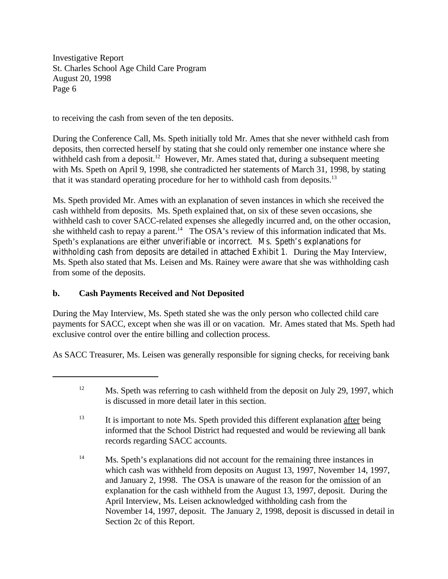to receiving the cash from seven of the ten deposits.

During the Conference Call, Ms. Speth initially told Mr. Ames that she never withheld cash from deposits, then corrected herself by stating that she could only remember one instance where she withheld cash from a deposit.<sup>12</sup> However, Mr. Ames stated that, during a subsequent meeting with Ms. Speth on April 9, 1998, she contradicted her statements of March 31, 1998, by stating that it was standard operating procedure for her to withhold cash from deposits.<sup>13</sup>

Ms. Speth provided Mr. Ames with an explanation of seven instances in which she received the cash withheld from deposits. Ms. Speth explained that, on six of these seven occasions, she withheld cash to cover SACC-related expenses she allegedly incurred and, on the other occasion, she withheld cash to repay a parent.<sup>14</sup> The OSA's review of this information indicated that Ms. Speth's explanations are either unverifiable or incorrect. Ms. Speth's explanations for withholding cash from deposits are detailed in attached Exhibit 1. During the May Interview, Ms. Speth also stated that Ms. Leisen and Ms. Rainey were aware that she was withholding cash from some of the deposits.

## **b. Cash Payments Received and Not Deposited**

During the May Interview, Ms. Speth stated she was the only person who collected child care payments for SACC, except when she was ill or on vacation. Mr. Ames stated that Ms. Speth had exclusive control over the entire billing and collection process.

As SACC Treasurer, Ms. Leisen was generally responsible for signing checks, for receiving bank

 $^{12}$  Ms. Speth was referring to cash withheld from the deposit on July 29, 1997, which is discussed in more detail later in this section.

 $\frac{13}{13}$  It is important to note Ms. Speth provided this different explanation after being informed that the School District had requested and would be reviewing all bank records regarding SACC accounts.

 $^{14}$  Ms. Speth's explanations did not account for the remaining three instances in which cash was withheld from deposits on August 13, 1997, November 14, 1997, and January 2, 1998. The OSA is unaware of the reason for the omission of an explanation for the cash withheld from the August 13, 1997, deposit. During the April Interview, Ms. Leisen acknowledged withholding cash from the November 14, 1997, deposit. The January 2, 1998, deposit is discussed in detail in Section 2c of this Report.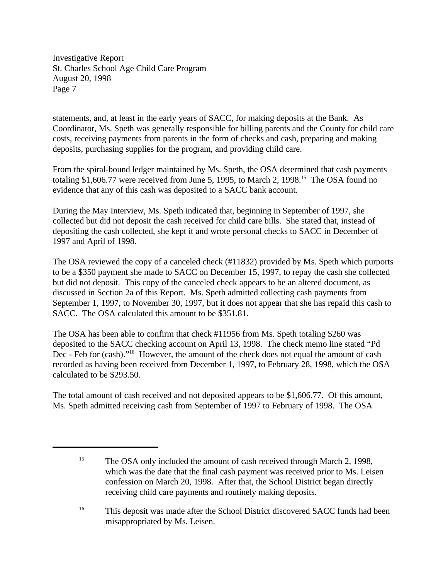statements, and, at least in the early years of SACC, for making deposits at the Bank. As Coordinator, Ms. Speth was generally responsible for billing parents and the County for child care costs, receiving payments from parents in the form of checks and cash, preparing and making deposits, purchasing supplies for the program, and providing child care.

From the spiral-bound ledger maintained by Ms. Speth, the OSA determined that cash payments totaling \$1,606.77 were received from June 5, 1995, to March 2, 1998.<sup>15</sup> The OSA found no evidence that any of this cash was deposited to a SACC bank account.

During the May Interview, Ms. Speth indicated that, beginning in September of 1997, she collected but did not deposit the cash received for child care bills. She stated that, instead of depositing the cash collected, she kept it and wrote personal checks to SACC in December of 1997 and April of 1998.

The OSA reviewed the copy of a canceled check (#11832) provided by Ms. Speth which purports to be a \$350 payment she made to SACC on December 15, 1997, to repay the cash she collected but did not deposit. This copy of the canceled check appears to be an altered document, as discussed in Section 2a of this Report. Ms. Speth admitted collecting cash payments from September 1, 1997, to November 30, 1997, but it does not appear that she has repaid this cash to SACC. The OSA calculated this amount to be \$351.81.

The OSA has been able to confirm that check #11956 from Ms. Speth totaling \$260 was deposited to the SACC checking account on April 13, 1998. The check memo line stated "Pd Dec - Feb for (cash)."<sup>16</sup> However, the amount of the check does not equal the amount of cash recorded as having been received from December 1, 1997, to February 28, 1998, which the OSA calculated to be \$293.50.

The total amount of cash received and not deposited appears to be \$1,606.77. Of this amount, Ms. Speth admitted receiving cash from September of 1997 to February of 1998. The OSA

<sup>&</sup>lt;sup>15</sup> The OSA only included the amount of cash received through March 2, 1998, which was the date that the final cash payment was received prior to Ms. Leisen confession on March 20, 1998. After that, the School District began directly receiving child care payments and routinely making deposits.

<sup>&</sup>lt;sup>16</sup> This deposit was made after the School District discovered SACC funds had been misappropriated by Ms. Leisen.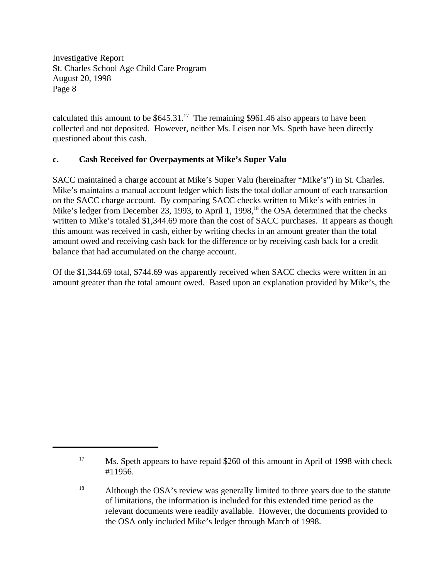calculated this amount to be  $$645.31<sup>17</sup>$  The remaining \$961.46 also appears to have been collected and not deposited. However, neither Ms. Leisen nor Ms. Speth have been directly questioned about this cash.

## **c. Cash Received for Overpayments at Mike's Super Valu**

SACC maintained a charge account at Mike's Super Valu (hereinafter "Mike's") in St. Charles. Mike's maintains a manual account ledger which lists the total dollar amount of each transaction on the SACC charge account. By comparing SACC checks written to Mike's with entries in Mike's ledger from December 23, 1993, to April 1, 1998, $^{18}$  the OSA determined that the checks written to Mike's totaled \$1,344.69 more than the cost of SACC purchases. It appears as though this amount was received in cash, either by writing checks in an amount greater than the total amount owed and receiving cash back for the difference or by receiving cash back for a credit balance that had accumulated on the charge account.

Of the \$1,344.69 total, \$744.69 was apparently received when SACC checks were written in an amount greater than the total amount owed. Based upon an explanation provided by Mike's, the

<sup>&</sup>lt;sup>17</sup> Ms. Speth appears to have repaid \$260 of this amount in April of 1998 with check #11956.

<sup>&</sup>lt;sup>18</sup> Although the OSA's review was generally limited to three years due to the statute of limitations, the information is included for this extended time period as the relevant documents were readily available. However, the documents provided to the OSA only included Mike's ledger through March of 1998.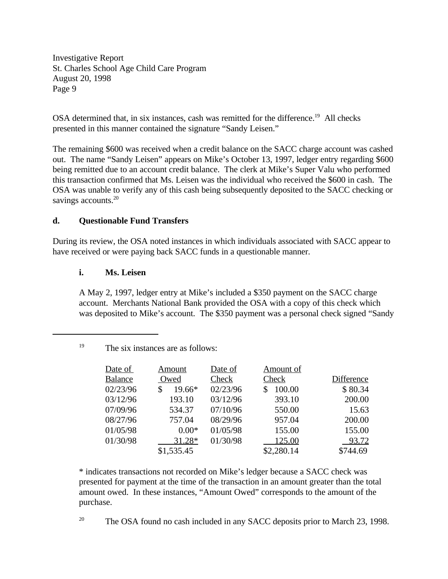OSA determined that, in six instances, cash was remitted for the difference.<sup>19</sup> All checks presented in this manner contained the signature "Sandy Leisen."

The remaining \$600 was received when a credit balance on the SACC charge account was cashed out. The name "Sandy Leisen" appears on Mike's October 13, 1997, ledger entry regarding \$600 being remitted due to an account credit balance. The clerk at Mike's Super Valu who performed this transaction confirmed that Ms. Leisen was the individual who received the \$600 in cash. The OSA was unable to verify any of this cash being subsequently deposited to the SACC checking or savings accounts.<sup>20</sup>

## **d. Questionable Fund Transfers**

During its review, the OSA noted instances in which individuals associated with SACC appear to have received or were paying back SACC funds in a questionable manner.

#### **i. Ms. Leisen**

A May 2, 1997, ledger entry at Mike's included a \$350 payment on the SACC charge account. Merchants National Bank provided the OSA with a copy of this check which was deposited to Mike's account. The \$350 payment was a personal check signed "Sandy

| Date of        | Amount     | Date of  | Amount of   |            |
|----------------|------------|----------|-------------|------------|
| <b>Balance</b> | Owed       | Check    | Check       | Difference |
| 02/23/96       | 19.66*     | 02/23/96 | 100.00<br>S | \$80.34    |
| 03/12/96       | 193.10     | 03/12/96 | 393.10      | 200.00     |
| 07/09/96       | 534.37     | 07/10/96 | 550.00      | 15.63      |
| 08/27/96       | 757.04     | 08/29/96 | 957.04      | 200.00     |
| 01/05/98       | $0.00*$    | 01/05/98 | 155.00      | 155.00     |
| 01/30/98       | 31.28*     | 01/30/98 | 125.00      | 93.72      |
|                | \$1,535.45 |          | \$2,280.14  | \$744.69   |

<sup>19</sup> The six instances are as follows:

\* indicates transactions not recorded on Mike's ledger because a SACC check was presented for payment at the time of the transaction in an amount greater than the total amount owed. In these instances, "Amount Owed" corresponds to the amount of the purchase.

 $20$  The OSA found no cash included in any SACC deposits prior to March 23, 1998.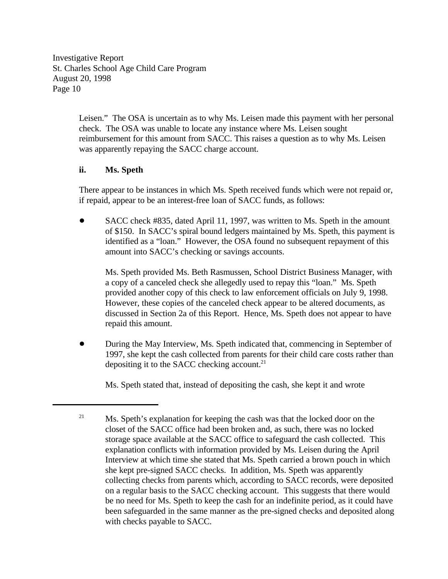> Leisen." The OSA is uncertain as to why Ms. Leisen made this payment with her personal check. The OSA was unable to locate any instance where Ms. Leisen sought reimbursement for this amount from SACC. This raises a question as to why Ms. Leisen was apparently repaying the SACC charge account.

#### **ii. Ms. Speth**

There appear to be instances in which Ms. Speth received funds which were not repaid or, if repaid, appear to be an interest-free loan of SACC funds, as follows:

• SACC check #835, dated April 11, 1997, was written to Ms. Speth in the amount of \$150. In SACC's spiral bound ledgers maintained by Ms. Speth, this payment is identified as a "loan." However, the OSA found no subsequent repayment of this amount into SACC's checking or savings accounts.

Ms. Speth provided Ms. Beth Rasmussen, School District Business Manager, with a copy of a canceled check she allegedly used to repay this "loan." Ms. Speth provided another copy of this check to law enforcement officials on July 9, 1998. However, these copies of the canceled check appear to be altered documents, as discussed in Section 2a of this Report. Hence, Ms. Speth does not appear to have repaid this amount.

! During the May Interview, Ms. Speth indicated that, commencing in September of 1997, she kept the cash collected from parents for their child care costs rather than depositing it to the SACC checking account. $21$ 

Ms. Speth stated that, instead of depositing the cash, she kept it and wrote

 $^{21}$  Ms. Speth's explanation for keeping the cash was that the locked door on the closet of the SACC office had been broken and, as such, there was no locked storage space available at the SACC office to safeguard the cash collected. This explanation conflicts with information provided by Ms. Leisen during the April Interview at which time she stated that Ms. Speth carried a brown pouch in which she kept pre-signed SACC checks. In addition, Ms. Speth was apparently collecting checks from parents which, according to SACC records, were deposited on a regular basis to the SACC checking account. This suggests that there would be no need for Ms. Speth to keep the cash for an indefinite period, as it could have been safeguarded in the same manner as the pre-signed checks and deposited along with checks payable to SACC.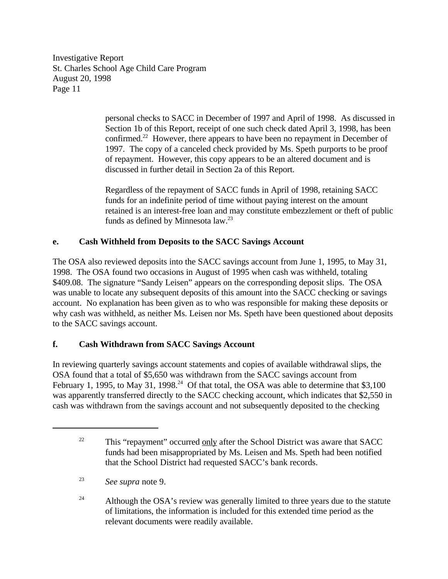> personal checks to SACC in December of 1997 and April of 1998. As discussed in Section 1b of this Report, receipt of one such check dated April 3, 1998, has been confirmed.<sup>22</sup> However, there appears to have been no repayment in December of 1997. The copy of a canceled check provided by Ms. Speth purports to be proof of repayment. However, this copy appears to be an altered document and is discussed in further detail in Section 2a of this Report.

> Regardless of the repayment of SACC funds in April of 1998, retaining SACC funds for an indefinite period of time without paying interest on the amount retained is an interest-free loan and may constitute embezzlement or theft of public funds as defined by Minnesota law.<sup>23</sup>

# **e. Cash Withheld from Deposits to the SACC Savings Account**

The OSA also reviewed deposits into the SACC savings account from June 1, 1995, to May 31, 1998. The OSA found two occasions in August of 1995 when cash was withheld, totaling \$409.08. The signature "Sandy Leisen" appears on the corresponding deposit slips. The OSA was unable to locate any subsequent deposits of this amount into the SACC checking or savings account. No explanation has been given as to who was responsible for making these deposits or why cash was withheld, as neither Ms. Leisen nor Ms. Speth have been questioned about deposits to the SACC savings account.

# **f. Cash Withdrawn from SACC Savings Account**

In reviewing quarterly savings account statements and copies of available withdrawal slips, the OSA found that a total of \$5,650 was withdrawn from the SACC savings account from February 1, 1995, to May 31, 1998.<sup>24</sup> Of that total, the OSA was able to determine that \$3,100 was apparently transferred directly to the SACC checking account, which indicates that \$2,550 in cash was withdrawn from the savings account and not subsequently deposited to the checking

 $22$  This "repayment" occurred only after the School District was aware that SACC funds had been misappropriated by Ms. Leisen and Ms. Speth had been notified that the School District had requested SACC's bank records.

*See supra* note 9. <sup>23</sup>

 $24$  Although the OSA's review was generally limited to three years due to the statute of limitations, the information is included for this extended time period as the relevant documents were readily available.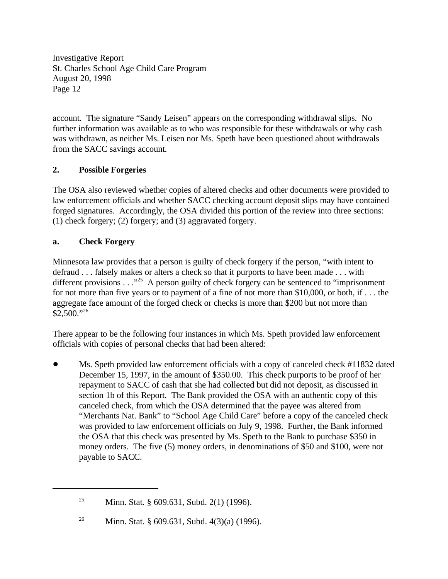account. The signature "Sandy Leisen" appears on the corresponding withdrawal slips. No further information was available as to who was responsible for these withdrawals or why cash was withdrawn, as neither Ms. Leisen nor Ms. Speth have been questioned about withdrawals from the SACC savings account.

# **2. Possible Forgeries**

The OSA also reviewed whether copies of altered checks and other documents were provided to law enforcement officials and whether SACC checking account deposit slips may have contained forged signatures. Accordingly, the OSA divided this portion of the review into three sections: (1) check forgery; (2) forgery; and (3) aggravated forgery.

## **a. Check Forgery**

Minnesota law provides that a person is guilty of check forgery if the person, "with intent to defraud . . . falsely makes or alters a check so that it purports to have been made . . . with different provisions  $\ldots$ <sup>25</sup>. A person guilty of check forgery can be sentenced to "imprisonment" for not more than five years or to payment of a fine of not more than \$10,000, or both, if . . . the aggregate face amount of the forged check or checks is more than \$200 but not more than  $$2,500."^{26}$ 

There appear to be the following four instances in which Ms. Speth provided law enforcement officials with copies of personal checks that had been altered:

! Ms. Speth provided law enforcement officials with a copy of canceled check #11832 dated December 15, 1997, in the amount of \$350.00. This check purports to be proof of her repayment to SACC of cash that she had collected but did not deposit, as discussed in section 1b of this Report. The Bank provided the OSA with an authentic copy of this canceled check, from which the OSA determined that the payee was altered from "Merchants Nat. Bank" to "School Age Child Care" before a copy of the canceled check was provided to law enforcement officials on July 9, 1998. Further, the Bank informed the OSA that this check was presented by Ms. Speth to the Bank to purchase \$350 in money orders. The five (5) money orders, in denominations of \$50 and \$100, were not payable to SACC.

<sup>&</sup>lt;sup>25</sup> Minn. Stat. § 609.631, Subd. 2(1) (1996).

<sup>&</sup>lt;sup>26</sup> Minn. Stat. § 609.631, Subd. 4(3)(a) (1996).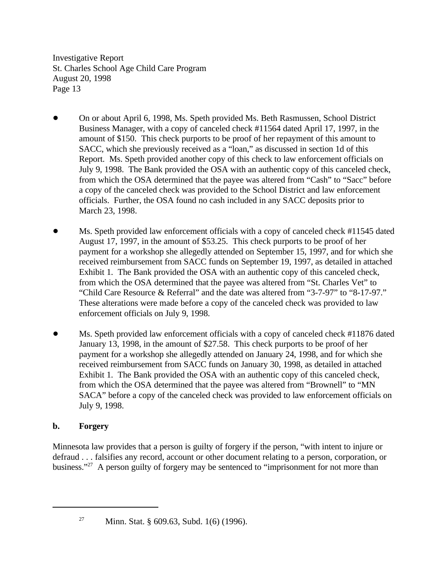- ! On or about April 6, 1998, Ms. Speth provided Ms. Beth Rasmussen, School District Business Manager, with a copy of canceled check #11564 dated April 17, 1997, in the amount of \$150. This check purports to be proof of her repayment of this amount to SACC, which she previously received as a "loan," as discussed in section 1d of this Report. Ms. Speth provided another copy of this check to law enforcement officials on July 9, 1998. The Bank provided the OSA with an authentic copy of this canceled check, from which the OSA determined that the payee was altered from "Cash" to "Sacc" before a copy of the canceled check was provided to the School District and law enforcement officials. Further, the OSA found no cash included in any SACC deposits prior to March 23, 1998.
- Ms. Speth provided law enforcement officials with a copy of canceled check #11545 dated August 17, 1997, in the amount of \$53.25. This check purports to be proof of her payment for a workshop she allegedly attended on September 15, 1997, and for which she received reimbursement from SACC funds on September 19, 1997, as detailed in attached Exhibit 1. The Bank provided the OSA with an authentic copy of this canceled check, from which the OSA determined that the payee was altered from "St. Charles Vet" to "Child Care Resource & Referral" and the date was altered from "3-7-97" to "8-17-97." These alterations were made before a copy of the canceled check was provided to law enforcement officials on July 9, 1998.
- ! Ms. Speth provided law enforcement officials with a copy of canceled check #11876 dated January 13, 1998, in the amount of \$27.58. This check purports to be proof of her payment for a workshop she allegedly attended on January 24, 1998, and for which she received reimbursement from SACC funds on January 30, 1998, as detailed in attached Exhibit 1. The Bank provided the OSA with an authentic copy of this canceled check, from which the OSA determined that the payee was altered from "Brownell" to "MN SACA" before a copy of the canceled check was provided to law enforcement officials on July 9, 1998.

## **b. Forgery**

Minnesota law provides that a person is guilty of forgery if the person, "with intent to injure or defraud . . . falsifies any record, account or other document relating to a person, corporation, or business."<sup>27</sup> A person guilty of forgery may be sentenced to "imprisonment for not more than

<sup>&</sup>lt;sup>27</sup> Minn. Stat. § 609.63, Subd. 1(6) (1996).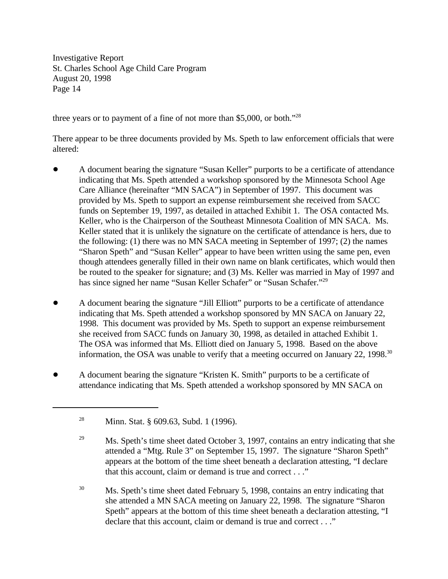three years or to payment of a fine of not more than \$5,000, or both."<sup>28</sup>

There appear to be three documents provided by Ms. Speth to law enforcement officials that were altered:

- ! A document bearing the signature "Susan Keller" purports to be a certificate of attendance indicating that Ms. Speth attended a workshop sponsored by the Minnesota School Age Care Alliance (hereinafter "MN SACA") in September of 1997. This document was provided by Ms. Speth to support an expense reimbursement she received from SACC funds on September 19, 1997, as detailed in attached Exhibit 1. The OSA contacted Ms. Keller, who is the Chairperson of the Southeast Minnesota Coalition of MN SACA. Ms. Keller stated that it is unlikely the signature on the certificate of attendance is hers, due to the following: (1) there was no MN SACA meeting in September of 1997; (2) the names "Sharon Speth" and "Susan Keller" appear to have been written using the same pen, even though attendees generally filled in their own name on blank certificates, which would then be routed to the speaker for signature; and (3) Ms. Keller was married in May of 1997 and has since signed her name "Susan Keller Schafer" or "Susan Schafer."<sup>29</sup>
- ! A document bearing the signature "Jill Elliott" purports to be a certificate of attendance indicating that Ms. Speth attended a workshop sponsored by MN SACA on January 22, 1998. This document was provided by Ms. Speth to support an expense reimbursement she received from SACC funds on January 30, 1998, as detailed in attached Exhibit 1. The OSA was informed that Ms. Elliott died on January 5, 1998. Based on the above information, the OSA was unable to verify that a meeting occurred on January 22, 1998.<sup>30</sup>
- ! A document bearing the signature "Kristen K. Smith" purports to be a certificate of attendance indicating that Ms. Speth attended a workshop sponsored by MN SACA on

<sup>&</sup>lt;sup>28</sup> Minn. Stat. § 609.63, Subd. 1 (1996).

 $^{29}$  Ms. Speth's time sheet dated October 3, 1997, contains an entry indicating that she attended a "Mtg. Rule 3" on September 15, 1997. The signature "Sharon Speth" appears at the bottom of the time sheet beneath a declaration attesting, "I declare that this account, claim or demand is true and correct . . ."

<sup>&</sup>lt;sup>30</sup> Ms. Speth's time sheet dated February 5, 1998, contains an entry indicating that she attended a MN SACA meeting on January 22, 1998. The signature "Sharon Speth" appears at the bottom of this time sheet beneath a declaration attesting, "I declare that this account, claim or demand is true and correct . . ."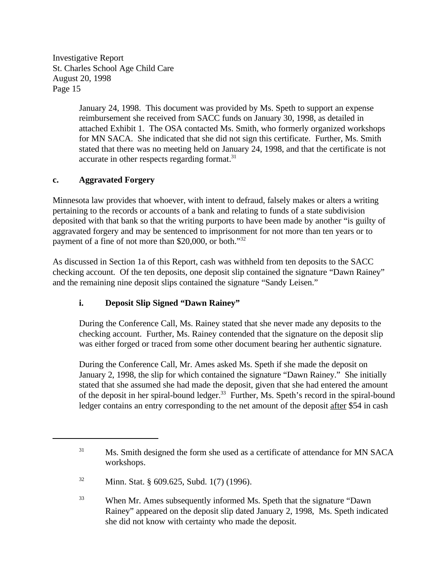> January 24, 1998. This document was provided by Ms. Speth to support an expense reimbursement she received from SACC funds on January 30, 1998, as detailed in attached Exhibit 1. The OSA contacted Ms. Smith, who formerly organized workshops for MN SACA. She indicated that she did not sign this certificate. Further, Ms. Smith stated that there was no meeting held on January 24, 1998, and that the certificate is not accurate in other respects regarding format.<sup>31</sup>

## **c. Aggravated Forgery**

Minnesota law provides that whoever, with intent to defraud, falsely makes or alters a writing pertaining to the records or accounts of a bank and relating to funds of a state subdivision deposited with that bank so that the writing purports to have been made by another "is guilty of aggravated forgery and may be sentenced to imprisonment for not more than ten years or to payment of a fine of not more than \$20,000, or both."<sup>32</sup>

As discussed in Section 1a of this Report, cash was withheld from ten deposits to the SACC checking account. Of the ten deposits, one deposit slip contained the signature "Dawn Rainey" and the remaining nine deposit slips contained the signature "Sandy Leisen."

## **i. Deposit Slip Signed "Dawn Rainey"**

During the Conference Call, Ms. Rainey stated that she never made any deposits to the checking account. Further, Ms. Rainey contended that the signature on the deposit slip was either forged or traced from some other document bearing her authentic signature.

During the Conference Call, Mr. Ames asked Ms. Speth if she made the deposit on January 2, 1998, the slip for which contained the signature "Dawn Rainey." She initially stated that she assumed she had made the deposit, given that she had entered the amount of the deposit in her spiral-bound ledger.<sup>33</sup> Further, Ms. Speth's record in the spiral-bound ledger contains an entry corresponding to the net amount of the deposit after \$54 in cash

<sup>&</sup>lt;sup>31</sup> Ms. Smith designed the form she used as a certificate of attendance for MN SACA workshops.

<sup>&</sup>lt;sup>32</sup> Minn. Stat. § 609.625, Subd. 1(7) (1996).

<sup>&</sup>lt;sup>33</sup> When Mr. Ames subsequently informed Ms. Speth that the signature "Dawn" Rainey" appeared on the deposit slip dated January 2, 1998, Ms. Speth indicated she did not know with certainty who made the deposit.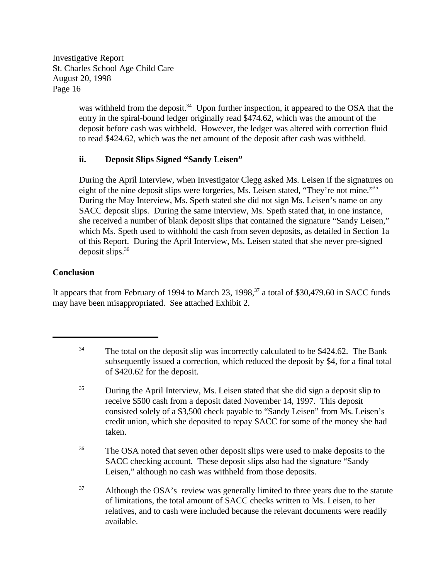> was withheld from the deposit.<sup>34</sup> Upon further inspection, it appeared to the OSA that the entry in the spiral-bound ledger originally read \$474.62, which was the amount of the deposit before cash was withheld. However, the ledger was altered with correction fluid to read \$424.62, which was the net amount of the deposit after cash was withheld.

# **ii. Deposit Slips Signed "Sandy Leisen"**

During the April Interview, when Investigator Clegg asked Ms. Leisen if the signatures on eight of the nine deposit slips were forgeries, Ms. Leisen stated, "They're not mine."<sup>35</sup> During the May Interview, Ms. Speth stated she did not sign Ms. Leisen's name on any SACC deposit slips. During the same interview, Ms. Speth stated that, in one instance, she received a number of blank deposit slips that contained the signature "Sandy Leisen," which Ms. Speth used to withhold the cash from seven deposits, as detailed in Section 1a of this Report. During the April Interview, Ms. Leisen stated that she never pre-signed deposit slips. $36$ 

# **Conclusion**

It appears that from February of 1994 to March 23, 1998,  $37$  a total of \$30,479.60 in SACC funds may have been misappropriated. See attached Exhibit 2.

- $34$  The total on the deposit slip was incorrectly calculated to be \$424.62. The Bank subsequently issued a correction, which reduced the deposit by \$4, for a final total of \$420.62 for the deposit.
- <sup>35</sup> During the April Interview, Ms. Leisen stated that she did sign a deposit slip to receive \$500 cash from a deposit dated November 14, 1997. This deposit consisted solely of a \$3,500 check payable to "Sandy Leisen" from Ms. Leisen's credit union, which she deposited to repay SACC for some of the money she had taken.
- <sup>36</sup> The OSA noted that seven other deposit slips were used to make deposits to the SACC checking account. These deposit slips also had the signature "Sandy Leisen," although no cash was withheld from those deposits.
- <sup>37</sup> Although the OSA's review was generally limited to three years due to the statute of limitations, the total amount of SACC checks written to Ms. Leisen, to her relatives, and to cash were included because the relevant documents were readily available.